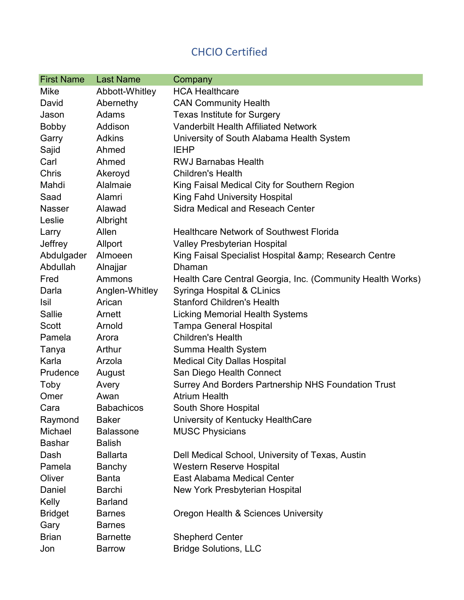## CHCIO Certified

| <b>First Name</b> | <b>Last Name</b>  | Company                                                    |
|-------------------|-------------------|------------------------------------------------------------|
| Mike              | Abbott-Whitley    | <b>HCA Healthcare</b>                                      |
| David             | Abernethy         | <b>CAN Community Health</b>                                |
| Jason             | Adams             | <b>Texas Institute for Surgery</b>                         |
| <b>Bobby</b>      | Addison           | <b>Vanderbilt Health Affiliated Network</b>                |
| Garry             | <b>Adkins</b>     | University of South Alabama Health System                  |
| Sajid             | Ahmed             | <b>IEHP</b>                                                |
| Carl              | Ahmed             | <b>RWJ Barnabas Health</b>                                 |
| <b>Chris</b>      | Akeroyd           | <b>Children's Health</b>                                   |
| Mahdi             | Alalmaie          | King Faisal Medical City for Southern Region               |
| Saad              | Alamri            | <b>King Fahd University Hospital</b>                       |
| <b>Nasser</b>     | Alawad            | <b>Sidra Medical and Reseach Center</b>                    |
| Leslie            | Albright          |                                                            |
| Larry             | Allen             | <b>Healthcare Network of Southwest Florida</b>             |
| Jeffrey           | Allport           | <b>Valley Presbyterian Hospital</b>                        |
| Abdulgader        | Almoeen           | King Faisal Specialist Hospital & amp; Research Centre     |
| Abdullah          | Alnajjar          | Dhaman                                                     |
| Fred              | Ammons            | Health Care Central Georgia, Inc. (Community Health Works) |
| Darla             | Anglen-Whitley    | Syringa Hospital & CLinics                                 |
| Isil              | Arican            | <b>Stanford Children's Health</b>                          |
| Sallie            | Arnett            | <b>Licking Memorial Health Systems</b>                     |
| Scott             | Arnold            | <b>Tampa General Hospital</b>                              |
| Pamela            | Arora             | <b>Children's Health</b>                                   |
| Tanya             | Arthur            | Summa Health System                                        |
| Karla             | Arzola            | <b>Medical City Dallas Hospital</b>                        |
| Prudence          | August            | San Diego Health Connect                                   |
| Toby              | Avery             | <b>Surrey And Borders Partnership NHS Foundation Trust</b> |
| Omer              | Awan              | <b>Atrium Health</b>                                       |
| Cara              | <b>Babachicos</b> | South Shore Hospital                                       |
| Raymond           | <b>Baker</b>      | University of Kentucky HealthCare                          |
| Michael           | <b>Balassone</b>  | <b>MUSC Physicians</b>                                     |
| <b>Bashar</b>     | <b>Balish</b>     |                                                            |
| Dash              | <b>Ballarta</b>   | Dell Medical School, University of Texas, Austin           |
| Pamela            | Banchy            | <b>Western Reserve Hospital</b>                            |
| Oliver            | <b>Banta</b>      | East Alabama Medical Center                                |
| Daniel            | <b>Barchi</b>     | New York Presbyterian Hospital                             |
| Kelly             | <b>Barland</b>    |                                                            |
| <b>Bridget</b>    | <b>Barnes</b>     | Oregon Health & Sciences University                        |
| Gary              | <b>Barnes</b>     |                                                            |
| <b>Brian</b>      | <b>Barnette</b>   | <b>Shepherd Center</b>                                     |
| Jon               | <b>Barrow</b>     | <b>Bridge Solutions, LLC</b>                               |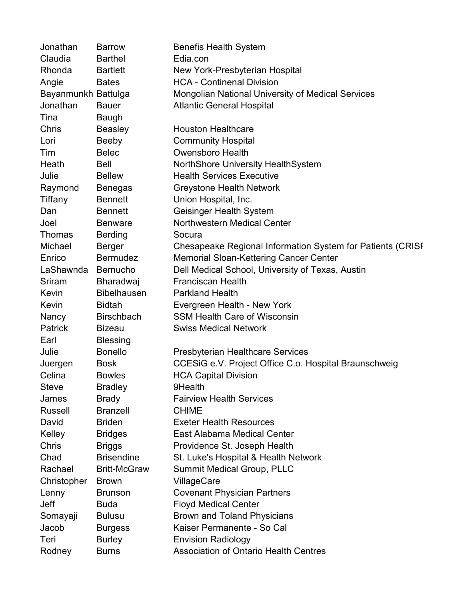| Jonathan            | <b>Barrow</b>       | <b>Benefis Health System</b>                               |
|---------------------|---------------------|------------------------------------------------------------|
| Claudia             | <b>Barthel</b>      | Edia.con                                                   |
| Rhonda              | <b>Bartlett</b>     | New York-Presbyterian Hospital                             |
| Angie               | <b>Bates</b>        | <b>HCA - Continenal Division</b>                           |
| Bayanmunkh Battulga |                     | <b>Mongolian National University of Medical Services</b>   |
| Jonathan            | <b>Bauer</b>        | <b>Atlantic General Hospital</b>                           |
| Tina                | Baugh               |                                                            |
| <b>Chris</b>        | <b>Beasley</b>      | <b>Houston Healthcare</b>                                  |
| Lori                | <b>Beeby</b>        | <b>Community Hospital</b>                                  |
| Tim                 | <b>Belec</b>        | <b>Owensboro Health</b>                                    |
| Heath               | Bell                | <b>NorthShore University HealthSystem</b>                  |
| Julie               | <b>Bellew</b>       | <b>Health Services Executive</b>                           |
| Raymond             | <b>Benegas</b>      | <b>Greystone Health Network</b>                            |
| Tiffany             | <b>Bennett</b>      | Union Hospital, Inc.                                       |
| Dan                 | <b>Bennett</b>      | <b>Geisinger Health System</b>                             |
| Joel                | <b>Benware</b>      | <b>Northwestern Medical Center</b>                         |
| <b>Thomas</b>       | <b>Berding</b>      | Socura                                                     |
| Michael             | <b>Berger</b>       | Chesapeake Regional Information System for Patients (CRISF |
| Enrico              | <b>Bermudez</b>     | <b>Memorial Sloan-Kettering Cancer Center</b>              |
| LaShawnda           | <b>Bernucho</b>     | Dell Medical School, University of Texas, Austin           |
| Sriram              | Bharadwaj           | <b>Franciscan Health</b>                                   |
| Kevin               | <b>Bibelhausen</b>  | <b>Parkland Health</b>                                     |
| Kevin               | <b>Bidtah</b>       | Evergreen Health - New York                                |
| Nancy               | <b>Birschbach</b>   | <b>SSM Health Care of Wisconsin</b>                        |
| <b>Patrick</b>      | <b>Bizeau</b>       | <b>Swiss Medical Network</b>                               |
| Earl                | <b>Blessing</b>     |                                                            |
| Julie               | <b>Bonello</b>      | <b>Presbyterian Healthcare Services</b>                    |
| Juergen             | <b>Bosk</b>         | CCESiG e.V. Project Office C.o. Hospital Braunschweig      |
| Celina              | <b>Bowles</b>       | <b>HCA Capital Division</b>                                |
| <b>Steve</b>        | <b>Bradley</b>      | 9Health                                                    |
| James               | <b>Brady</b>        | <b>Fairview Health Services</b>                            |
| <b>Russell</b>      | <b>Branzell</b>     | <b>CHIME</b>                                               |
| David               | <b>Briden</b>       | <b>Exeter Health Resources</b>                             |
| Kelley              | <b>Bridges</b>      | East Alabama Medical Center                                |
| Chris               | <b>Briggs</b>       | Providence St. Joseph Health                               |
| Chad                | <b>Brisendine</b>   | St. Luke's Hospital & Health Network                       |
| Rachael             | <b>Britt-McGraw</b> | <b>Summit Medical Group, PLLC</b>                          |
| Christopher         | <b>Brown</b>        | VillageCare                                                |
| Lenny               | <b>Brunson</b>      | <b>Covenant Physician Partners</b>                         |
| Jeff                | <b>Buda</b>         | <b>Floyd Medical Center</b>                                |
| Somayaji            | <b>Bulusu</b>       | Brown and Toland Physicians                                |
| Jacob               | <b>Burgess</b>      | Kaiser Permanente - So Cal                                 |
| Teri                | <b>Burley</b>       | <b>Envision Radiology</b>                                  |
| Rodney              | <b>Burns</b>        | <b>Association of Ontario Health Centres</b>               |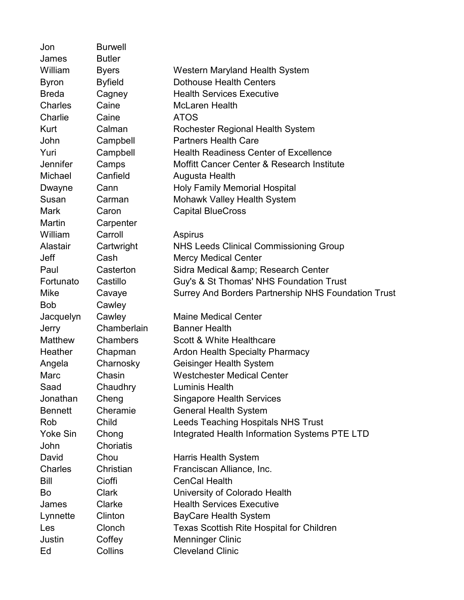| Jon             | <b>Burwell</b> |                                                            |
|-----------------|----------------|------------------------------------------------------------|
| James           | <b>Butler</b>  |                                                            |
| William         | <b>Byers</b>   | Western Maryland Health System                             |
| <b>Byron</b>    | <b>Byfield</b> | <b>Dothouse Health Centers</b>                             |
| <b>Breda</b>    | Cagney         | <b>Health Services Executive</b>                           |
| Charles         | Caine          | <b>McLaren Health</b>                                      |
| Charlie         | Caine          | <b>ATOS</b>                                                |
| Kurt            | Calman         | Rochester Regional Health System                           |
| John            | Campbell       | <b>Partners Health Care</b>                                |
| Yuri            | Campbell       | <b>Health Readiness Center of Excellence</b>               |
| <b>Jennifer</b> | Camps          | Moffitt Cancer Center & Research Institute                 |
| Michael         | Canfield       | Augusta Health                                             |
| Dwayne          | Cann           | <b>Holy Family Memorial Hospital</b>                       |
| Susan           | Carman         | Mohawk Valley Health System                                |
| <b>Mark</b>     | Caron          | <b>Capital BlueCross</b>                                   |
| Martin          | Carpenter      |                                                            |
| William         | Carroll        | <b>Aspirus</b>                                             |
| Alastair        | Cartwright     | <b>NHS Leeds Clinical Commissioning Group</b>              |
| Jeff            | Cash           | <b>Mercy Medical Center</b>                                |
| Paul            | Casterton      | Sidra Medical & Research Center                            |
| Fortunato       | Castillo       | Guy's & St Thomas' NHS Foundation Trust                    |
| Mike            | Cavaye         | <b>Surrey And Borders Partnership NHS Foundation Trust</b> |
| <b>Bob</b>      | Cawley         |                                                            |
| Jacquelyn       | Cawley         | <b>Maine Medical Center</b>                                |
| Jerry           | Chamberlain    | <b>Banner Health</b>                                       |
| <b>Matthew</b>  | Chambers       | <b>Scott &amp; White Healthcare</b>                        |
| Heather         | Chapman        | <b>Ardon Health Specialty Pharmacy</b>                     |
| Angela          | Charnosky      | <b>Geisinger Health System</b>                             |
| Marc            | Chasin         | <b>Westchester Medical Center</b>                          |
| Saad            | Chaudhry       | <b>Luminis Health</b>                                      |
| Jonathan        | Cheng          | <b>Singapore Health Services</b>                           |
| <b>Bennett</b>  | Cheramie       | <b>General Health System</b>                               |
| Rob             | Child          | Leeds Teaching Hospitals NHS Trust                         |
| <b>Yoke Sin</b> | Chong          | Integrated Health Information Systems PTE LTD              |
| John            | Choriatis      |                                                            |
| David           | Chou           | <b>Harris Health System</b>                                |
| Charles         | Christian      | Franciscan Alliance, Inc.                                  |
| Bill            | Cioffi         | <b>CenCal Health</b>                                       |
| Bo              | <b>Clark</b>   | University of Colorado Health                              |
| James           | Clarke         | <b>Health Services Executive</b>                           |
| Lynnette        | Clinton        | <b>BayCare Health System</b>                               |
| Les             | Clonch         | <b>Texas Scottish Rite Hospital for Children</b>           |
| Justin          | Coffey         | <b>Menninger Clinic</b>                                    |
| Ed              | Collins        | <b>Cleveland Clinic</b>                                    |
|                 |                |                                                            |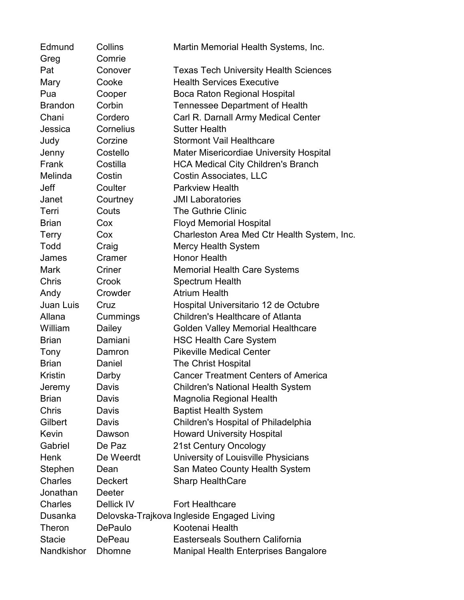| Edmund<br>Collins              | Martin Memorial Health Systems, Inc.         |
|--------------------------------|----------------------------------------------|
| Comrie<br>Greg                 |                                              |
| Pat<br>Conover                 | <b>Texas Tech University Health Sciences</b> |
| Cooke<br>Mary                  | <b>Health Services Executive</b>             |
| Pua<br>Cooper                  | <b>Boca Raton Regional Hospital</b>          |
| Corbin<br><b>Brandon</b>       | <b>Tennessee Department of Health</b>        |
| Chani<br>Cordero               | Carl R. Darnall Army Medical Center          |
| Cornelius<br>Jessica           | <b>Sutter Health</b>                         |
| Corzine<br>Judy                | <b>Stormont Vail Healthcare</b>              |
| Costello<br>Jenny              | Mater Misericordiae University Hospital      |
| Frank<br>Costilla              | <b>HCA Medical City Children's Branch</b>    |
| Melinda<br>Costin              | <b>Costin Associates, LLC</b>                |
| <b>Jeff</b><br>Coulter         | <b>Parkview Health</b>                       |
| Janet<br>Courtney              | <b>JMI</b> Laboratories                      |
| Couts<br>Terri                 | The Guthrie Clinic                           |
| <b>Brian</b><br>Cox            | <b>Floyd Memorial Hospital</b>               |
| <b>Terry</b><br>Cox            | Charleston Area Med Ctr Health System, Inc.  |
| Todd<br>Craig                  | <b>Mercy Health System</b>                   |
| James<br>Cramer                | <b>Honor Health</b>                          |
| <b>Mark</b><br>Criner          | <b>Memorial Health Care Systems</b>          |
| Chris<br>Crook                 | <b>Spectrum Health</b>                       |
| Crowder<br>Andy                | <b>Atrium Health</b>                         |
| <b>Juan Luis</b><br>Cruz       | Hospital Universitario 12 de Octubre         |
| Allana<br>Cummings             | <b>Children's Healthcare of Atlanta</b>      |
| William<br>Dailey              | <b>Golden Valley Memorial Healthcare</b>     |
| Damiani<br><b>Brian</b>        | <b>HSC Health Care System</b>                |
| Tony<br>Damron                 | <b>Pikeville Medical Center</b>              |
| <b>Brian</b><br>Daniel         | <b>The Christ Hospital</b>                   |
| <b>Kristin</b><br>Darby        | <b>Cancer Treatment Centers of America</b>   |
| Davis<br>Jeremy                | <b>Children's National Health System</b>     |
| <b>Brian</b><br>Davis          | Magnolia Regional Health                     |
| <b>Chris</b><br>Davis          | <b>Baptist Health System</b>                 |
| Gilbert<br>Davis               | Children's Hospital of Philadelphia          |
| Kevin<br>Dawson                | <b>Howard University Hospital</b>            |
| Gabriel<br>De Paz              | 21st Century Oncology                        |
| De Weerdt<br><b>Henk</b>       | University of Louisville Physicians          |
| Stephen<br>Dean                | San Mateo County Health System               |
| Charles<br><b>Deckert</b>      | Sharp HealthCare                             |
| Jonathan<br><b>Deeter</b>      |                                              |
| Charles<br>Dellick IV          | <b>Fort Healthcare</b>                       |
| <b>Dusanka</b>                 | Delovska-Trajkova Ingleside Engaged Living   |
| Theron<br><b>DePaulo</b>       | Kootenai Health                              |
| <b>Stacie</b><br><b>DePeau</b> |                                              |
|                                | Easterseals Southern California              |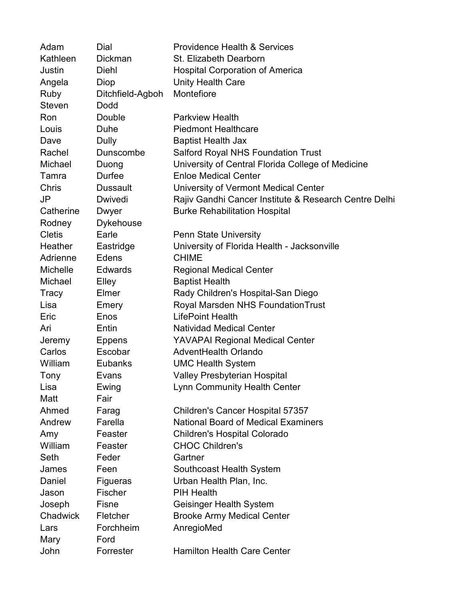| Adam            | Dial             | <b>Providence Health &amp; Services</b>               |  |  |
|-----------------|------------------|-------------------------------------------------------|--|--|
| Kathleen        | Dickman          | St. Elizabeth Dearborn                                |  |  |
| Justin          | Diehl            | <b>Hospital Corporation of America</b>                |  |  |
| Angela          | Diop             | Unity Health Care                                     |  |  |
| Ruby            | Ditchfield-Agboh | Montefiore                                            |  |  |
| <b>Steven</b>   | Dodd             |                                                       |  |  |
| Ron             | Double           | <b>Parkview Health</b>                                |  |  |
| Louis           | Duhe             | <b>Piedmont Healthcare</b>                            |  |  |
| Dave            | Dully            | <b>Baptist Health Jax</b>                             |  |  |
| Rachel          | Dunscombe        | <b>Salford Royal NHS Foundation Trust</b>             |  |  |
| Michael         | Duong            | University of Central Florida College of Medicine     |  |  |
| Tamra           | Durfee           | <b>Enloe Medical Center</b>                           |  |  |
| <b>Chris</b>    | <b>Dussault</b>  | University of Vermont Medical Center                  |  |  |
| JP              | <b>Dwivedi</b>   | Rajiv Gandhi Cancer Institute & Research Centre Delhi |  |  |
| Catherine       | Dwyer            | <b>Burke Rehabilitation Hospital</b>                  |  |  |
| Rodney          | Dykehouse        |                                                       |  |  |
| <b>Cletis</b>   | Earle            | <b>Penn State University</b>                          |  |  |
| Heather         | Eastridge        | University of Florida Health - Jacksonville           |  |  |
| Adrienne        | Edens            | <b>CHIME</b>                                          |  |  |
| <b>Michelle</b> | <b>Edwards</b>   | <b>Regional Medical Center</b>                        |  |  |
| Michael         | Elley            | <b>Baptist Health</b>                                 |  |  |
| Tracy           | Elmer            | Rady Children's Hospital-San Diego                    |  |  |
| Lisa            | Emery            | Royal Marsden NHS Foundation Trust                    |  |  |
| Eric            | Enos             | <b>LifePoint Health</b>                               |  |  |
| Ari             | Entin            | <b>Natividad Medical Center</b>                       |  |  |
| Jeremy          | <b>Eppens</b>    | <b>YAVAPAI Regional Medical Center</b>                |  |  |
| Carlos          | Escobar          | <b>AdventHealth Orlando</b>                           |  |  |
| William         | <b>Eubanks</b>   | <b>UMC Health System</b>                              |  |  |
| Tony            | Evans            | <b>Valley Presbyterian Hospital</b>                   |  |  |
| Lisa            | Ewing            | Lynn Community Health Center                          |  |  |
| Matt            | Fair             |                                                       |  |  |
| Ahmed           | Farag            | Children's Cancer Hospital 57357                      |  |  |
| Andrew          | Farella          | <b>National Board of Medical Examiners</b>            |  |  |
| Amy             | Feaster          | <b>Children's Hospital Colorado</b>                   |  |  |
| William         | Feaster          | <b>CHOC Children's</b>                                |  |  |
| Seth            | Feder            | Gartner                                               |  |  |
| James           | Feen             | Southcoast Health System                              |  |  |
| Daniel          | Figueras         | Urban Health Plan, Inc.                               |  |  |
| Jason           | Fischer          | <b>PIH Health</b>                                     |  |  |
| Joseph          | Fisne            | <b>Geisinger Health System</b>                        |  |  |
| Chadwick        | Fletcher         | <b>Brooke Army Medical Center</b>                     |  |  |
| Lars            | Forchheim        | AnregioMed                                            |  |  |
| Mary            | Ford             |                                                       |  |  |
| John            | Forrester        | <b>Hamilton Health Care Center</b>                    |  |  |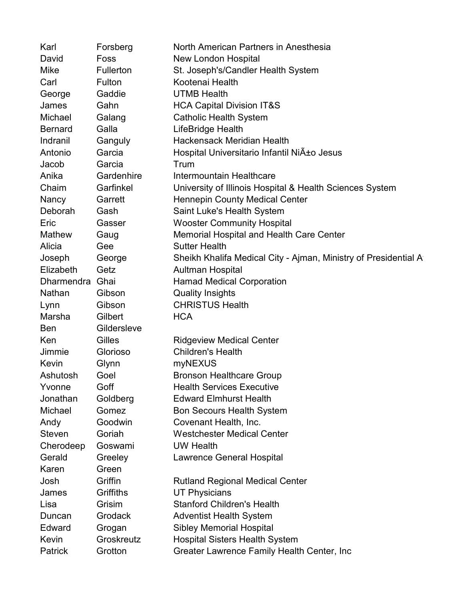| Karl            | Forsberg    | North American Partners in Anesthesia                           |
|-----------------|-------------|-----------------------------------------------------------------|
| David           | Foss        | <b>New London Hospital</b>                                      |
| Mike            | Fullerton   | St. Joseph's/Candler Health System                              |
| Carl            | Fulton      | Kootenai Health                                                 |
| George          | Gaddie      | <b>UTMB Health</b>                                              |
| James           | Gahn        | <b>HCA Capital Division IT&amp;S</b>                            |
| Michael         | Galang      | <b>Catholic Health System</b>                                   |
| <b>Bernard</b>  | Galla       | LifeBridge Health                                               |
| Indranil        | Ganguly     | <b>Hackensack Meridian Health</b>                               |
| Antonio         | Garcia      | Hospital Universitario Infantil NiA+o Jesus                     |
| Jacob           | Garcia      | Trum                                                            |
| Anika           | Gardenhire  | Intermountain Healthcare                                        |
| Chaim           | Garfinkel   | University of Illinois Hospital & Health Sciences System        |
| Nancy           | Garrett     | <b>Hennepin County Medical Center</b>                           |
| Deborah         | Gash        | Saint Luke's Health System                                      |
| Eric            | Gasser      | <b>Wooster Community Hospital</b>                               |
| Mathew          | Gaug        | <b>Memorial Hospital and Health Care Center</b>                 |
| Alicia          | Gee         | <b>Sutter Health</b>                                            |
| Joseph          | George      | Sheikh Khalifa Medical City - Ajman, Ministry of Presidential A |
| Elizabeth       | Getz        | Aultman Hospital                                                |
| Dharmendra Ghai |             | <b>Hamad Medical Corporation</b>                                |
| Nathan          | Gibson      | <b>Quality Insights</b>                                         |
| Lynn            | Gibson      | <b>CHRISTUS Health</b>                                          |
| Marsha          | Gilbert     | <b>HCA</b>                                                      |
| <b>Ben</b>      | Gildersleve |                                                                 |
| Ken             | Gilles      | <b>Ridgeview Medical Center</b>                                 |
| Jimmie          | Glorioso    | <b>Children's Health</b>                                        |
| Kevin           | Glynn       | myNEXUS                                                         |
| Ashutosh        | Goel        | <b>Bronson Healthcare Group</b>                                 |
| Yvonne          | Goff        | <b>Health Services Executive</b>                                |
| Jonathan        | Goldberg    | <b>Edward Elmhurst Health</b>                                   |
| Michael         | Gomez       | <b>Bon Secours Health System</b>                                |
| Andy            | Goodwin     | Covenant Health, Inc.                                           |
| <b>Steven</b>   | Goriah      | <b>Westchester Medical Center</b>                               |
| Cherodeep       | Goswami     | <b>UW Health</b>                                                |
| Gerald          | Greeley     | Lawrence General Hospital                                       |
| Karen           | Green       |                                                                 |
| Josh            | Griffin     | <b>Rutland Regional Medical Center</b>                          |
| James           | Griffiths   | <b>UT Physicians</b>                                            |
| Lisa            | Grisim      | <b>Stanford Children's Health</b>                               |
| Duncan          | Grodack     | <b>Adventist Health System</b>                                  |
| Edward          | Grogan      | <b>Sibley Memorial Hospital</b>                                 |
| Kevin           | Groskreutz  | <b>Hospital Sisters Health System</b>                           |
| Patrick         | Grotton     | Greater Lawrence Family Health Center, Inc                      |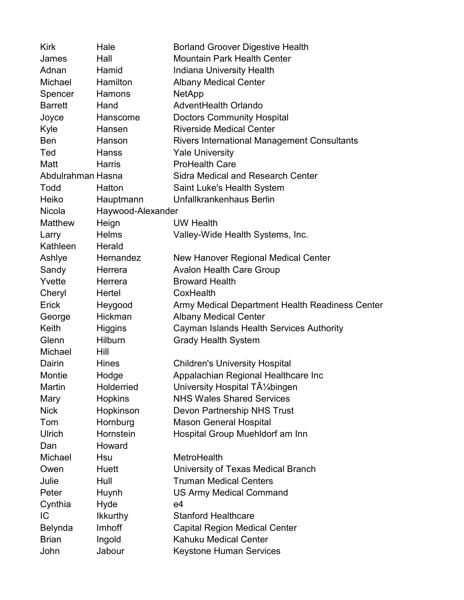| <b>Mountain Park Health Center</b><br>Hall<br>James<br>Adnan<br>Hamid<br>Indiana University Health<br>Michael<br>Hamilton<br><b>Albany Medical Center</b><br>Spencer<br><b>NetApp</b><br>Hamons<br><b>Barrett</b><br>AdventHealth Orlando<br>Hand<br><b>Doctors Community Hospital</b><br>Joyce<br>Hanscome<br><b>Riverside Medical Center</b><br>Kyle<br>Hansen<br>Ben<br><b>Rivers International Management Consultants</b><br>Hanson<br>Ted<br><b>Hanss</b><br><b>Yale University</b><br><b>ProHealth Care</b><br>Matt<br>Harris<br><b>Sidra Medical and Research Center</b><br>Abdulrahman Hasna<br>Todd<br>Hatton<br>Saint Luke's Health System<br><b>Unfallkrankenhaus Berlin</b><br>Heiko<br>Hauptmann<br><b>Nicola</b><br>Haywood-Alexander<br><b>Matthew</b><br>Heign<br><b>UW Health</b><br><b>Helms</b><br>Valley-Wide Health Systems, Inc.<br>Larry<br>Kathleen<br>Herald<br>Hernandez<br>New Hanover Regional Medical Center<br>Ashlye<br>Sandy<br><b>Avalon Health Care Group</b><br>Herrera<br>Yvette<br><b>Broward Health</b><br>Herrera<br>Cheryl<br>Hertel<br>CoxHealth<br>Erick<br>Heygood<br>Army Medical Department Health Readiness Center<br>Hickman<br><b>Albany Medical Center</b><br>George<br>Keith<br>Higgins<br>Cayman Islands Health Services Authority<br>Glenn<br>Hilburn<br><b>Grady Health System</b><br>Michael<br>Hill<br>Dairin<br><b>Hines</b><br><b>Children's University Hospital</b><br>Appalachian Regional Healthcare Inc<br>Montie<br>Hodge<br>Martin<br>Holderried<br>University Hospital TA1/4bingen<br><b>NHS Wales Shared Services</b><br>Mary<br><b>Hopkins</b><br>Devon Partnership NHS Trust<br><b>Nick</b><br>Hopkinson<br><b>Mason General Hospital</b><br>Tom<br>Hornburg<br>Hornstein<br>Hospital Group Muehldorf am Inn<br>Ulrich<br>Howard<br>Dan<br>Michael<br>Hsu<br>MetroHealth<br>University of Texas Medical Branch<br>Owen<br>Huett<br>Julie<br><b>Truman Medical Centers</b><br>Hull<br>Peter<br>Huynh<br><b>US Army Medical Command</b><br>e4<br>Cynthia<br>Hyde | <b>Kirk</b> | Hale | <b>Borland Groover Digestive Health</b> |
|-----------------------------------------------------------------------------------------------------------------------------------------------------------------------------------------------------------------------------------------------------------------------------------------------------------------------------------------------------------------------------------------------------------------------------------------------------------------------------------------------------------------------------------------------------------------------------------------------------------------------------------------------------------------------------------------------------------------------------------------------------------------------------------------------------------------------------------------------------------------------------------------------------------------------------------------------------------------------------------------------------------------------------------------------------------------------------------------------------------------------------------------------------------------------------------------------------------------------------------------------------------------------------------------------------------------------------------------------------------------------------------------------------------------------------------------------------------------------------------------------------------------------------------------------------------------------------------------------------------------------------------------------------------------------------------------------------------------------------------------------------------------------------------------------------------------------------------------------------------------------------------------------------------------------------------------------------------------------------------------------------------------------------------|-------------|------|-----------------------------------------|
|                                                                                                                                                                                                                                                                                                                                                                                                                                                                                                                                                                                                                                                                                                                                                                                                                                                                                                                                                                                                                                                                                                                                                                                                                                                                                                                                                                                                                                                                                                                                                                                                                                                                                                                                                                                                                                                                                                                                                                                                                                   |             |      |                                         |
|                                                                                                                                                                                                                                                                                                                                                                                                                                                                                                                                                                                                                                                                                                                                                                                                                                                                                                                                                                                                                                                                                                                                                                                                                                                                                                                                                                                                                                                                                                                                                                                                                                                                                                                                                                                                                                                                                                                                                                                                                                   |             |      |                                         |
|                                                                                                                                                                                                                                                                                                                                                                                                                                                                                                                                                                                                                                                                                                                                                                                                                                                                                                                                                                                                                                                                                                                                                                                                                                                                                                                                                                                                                                                                                                                                                                                                                                                                                                                                                                                                                                                                                                                                                                                                                                   |             |      |                                         |
|                                                                                                                                                                                                                                                                                                                                                                                                                                                                                                                                                                                                                                                                                                                                                                                                                                                                                                                                                                                                                                                                                                                                                                                                                                                                                                                                                                                                                                                                                                                                                                                                                                                                                                                                                                                                                                                                                                                                                                                                                                   |             |      |                                         |
|                                                                                                                                                                                                                                                                                                                                                                                                                                                                                                                                                                                                                                                                                                                                                                                                                                                                                                                                                                                                                                                                                                                                                                                                                                                                                                                                                                                                                                                                                                                                                                                                                                                                                                                                                                                                                                                                                                                                                                                                                                   |             |      |                                         |
|                                                                                                                                                                                                                                                                                                                                                                                                                                                                                                                                                                                                                                                                                                                                                                                                                                                                                                                                                                                                                                                                                                                                                                                                                                                                                                                                                                                                                                                                                                                                                                                                                                                                                                                                                                                                                                                                                                                                                                                                                                   |             |      |                                         |
|                                                                                                                                                                                                                                                                                                                                                                                                                                                                                                                                                                                                                                                                                                                                                                                                                                                                                                                                                                                                                                                                                                                                                                                                                                                                                                                                                                                                                                                                                                                                                                                                                                                                                                                                                                                                                                                                                                                                                                                                                                   |             |      |                                         |
|                                                                                                                                                                                                                                                                                                                                                                                                                                                                                                                                                                                                                                                                                                                                                                                                                                                                                                                                                                                                                                                                                                                                                                                                                                                                                                                                                                                                                                                                                                                                                                                                                                                                                                                                                                                                                                                                                                                                                                                                                                   |             |      |                                         |
|                                                                                                                                                                                                                                                                                                                                                                                                                                                                                                                                                                                                                                                                                                                                                                                                                                                                                                                                                                                                                                                                                                                                                                                                                                                                                                                                                                                                                                                                                                                                                                                                                                                                                                                                                                                                                                                                                                                                                                                                                                   |             |      |                                         |
|                                                                                                                                                                                                                                                                                                                                                                                                                                                                                                                                                                                                                                                                                                                                                                                                                                                                                                                                                                                                                                                                                                                                                                                                                                                                                                                                                                                                                                                                                                                                                                                                                                                                                                                                                                                                                                                                                                                                                                                                                                   |             |      |                                         |
|                                                                                                                                                                                                                                                                                                                                                                                                                                                                                                                                                                                                                                                                                                                                                                                                                                                                                                                                                                                                                                                                                                                                                                                                                                                                                                                                                                                                                                                                                                                                                                                                                                                                                                                                                                                                                                                                                                                                                                                                                                   |             |      |                                         |
|                                                                                                                                                                                                                                                                                                                                                                                                                                                                                                                                                                                                                                                                                                                                                                                                                                                                                                                                                                                                                                                                                                                                                                                                                                                                                                                                                                                                                                                                                                                                                                                                                                                                                                                                                                                                                                                                                                                                                                                                                                   |             |      |                                         |
|                                                                                                                                                                                                                                                                                                                                                                                                                                                                                                                                                                                                                                                                                                                                                                                                                                                                                                                                                                                                                                                                                                                                                                                                                                                                                                                                                                                                                                                                                                                                                                                                                                                                                                                                                                                                                                                                                                                                                                                                                                   |             |      |                                         |
|                                                                                                                                                                                                                                                                                                                                                                                                                                                                                                                                                                                                                                                                                                                                                                                                                                                                                                                                                                                                                                                                                                                                                                                                                                                                                                                                                                                                                                                                                                                                                                                                                                                                                                                                                                                                                                                                                                                                                                                                                                   |             |      |                                         |
|                                                                                                                                                                                                                                                                                                                                                                                                                                                                                                                                                                                                                                                                                                                                                                                                                                                                                                                                                                                                                                                                                                                                                                                                                                                                                                                                                                                                                                                                                                                                                                                                                                                                                                                                                                                                                                                                                                                                                                                                                                   |             |      |                                         |
|                                                                                                                                                                                                                                                                                                                                                                                                                                                                                                                                                                                                                                                                                                                                                                                                                                                                                                                                                                                                                                                                                                                                                                                                                                                                                                                                                                                                                                                                                                                                                                                                                                                                                                                                                                                                                                                                                                                                                                                                                                   |             |      |                                         |
|                                                                                                                                                                                                                                                                                                                                                                                                                                                                                                                                                                                                                                                                                                                                                                                                                                                                                                                                                                                                                                                                                                                                                                                                                                                                                                                                                                                                                                                                                                                                                                                                                                                                                                                                                                                                                                                                                                                                                                                                                                   |             |      |                                         |
|                                                                                                                                                                                                                                                                                                                                                                                                                                                                                                                                                                                                                                                                                                                                                                                                                                                                                                                                                                                                                                                                                                                                                                                                                                                                                                                                                                                                                                                                                                                                                                                                                                                                                                                                                                                                                                                                                                                                                                                                                                   |             |      |                                         |
|                                                                                                                                                                                                                                                                                                                                                                                                                                                                                                                                                                                                                                                                                                                                                                                                                                                                                                                                                                                                                                                                                                                                                                                                                                                                                                                                                                                                                                                                                                                                                                                                                                                                                                                                                                                                                                                                                                                                                                                                                                   |             |      |                                         |
|                                                                                                                                                                                                                                                                                                                                                                                                                                                                                                                                                                                                                                                                                                                                                                                                                                                                                                                                                                                                                                                                                                                                                                                                                                                                                                                                                                                                                                                                                                                                                                                                                                                                                                                                                                                                                                                                                                                                                                                                                                   |             |      |                                         |
|                                                                                                                                                                                                                                                                                                                                                                                                                                                                                                                                                                                                                                                                                                                                                                                                                                                                                                                                                                                                                                                                                                                                                                                                                                                                                                                                                                                                                                                                                                                                                                                                                                                                                                                                                                                                                                                                                                                                                                                                                                   |             |      |                                         |
|                                                                                                                                                                                                                                                                                                                                                                                                                                                                                                                                                                                                                                                                                                                                                                                                                                                                                                                                                                                                                                                                                                                                                                                                                                                                                                                                                                                                                                                                                                                                                                                                                                                                                                                                                                                                                                                                                                                                                                                                                                   |             |      |                                         |
|                                                                                                                                                                                                                                                                                                                                                                                                                                                                                                                                                                                                                                                                                                                                                                                                                                                                                                                                                                                                                                                                                                                                                                                                                                                                                                                                                                                                                                                                                                                                                                                                                                                                                                                                                                                                                                                                                                                                                                                                                                   |             |      |                                         |
|                                                                                                                                                                                                                                                                                                                                                                                                                                                                                                                                                                                                                                                                                                                                                                                                                                                                                                                                                                                                                                                                                                                                                                                                                                                                                                                                                                                                                                                                                                                                                                                                                                                                                                                                                                                                                                                                                                                                                                                                                                   |             |      |                                         |
|                                                                                                                                                                                                                                                                                                                                                                                                                                                                                                                                                                                                                                                                                                                                                                                                                                                                                                                                                                                                                                                                                                                                                                                                                                                                                                                                                                                                                                                                                                                                                                                                                                                                                                                                                                                                                                                                                                                                                                                                                                   |             |      |                                         |
|                                                                                                                                                                                                                                                                                                                                                                                                                                                                                                                                                                                                                                                                                                                                                                                                                                                                                                                                                                                                                                                                                                                                                                                                                                                                                                                                                                                                                                                                                                                                                                                                                                                                                                                                                                                                                                                                                                                                                                                                                                   |             |      |                                         |
|                                                                                                                                                                                                                                                                                                                                                                                                                                                                                                                                                                                                                                                                                                                                                                                                                                                                                                                                                                                                                                                                                                                                                                                                                                                                                                                                                                                                                                                                                                                                                                                                                                                                                                                                                                                                                                                                                                                                                                                                                                   |             |      |                                         |
|                                                                                                                                                                                                                                                                                                                                                                                                                                                                                                                                                                                                                                                                                                                                                                                                                                                                                                                                                                                                                                                                                                                                                                                                                                                                                                                                                                                                                                                                                                                                                                                                                                                                                                                                                                                                                                                                                                                                                                                                                                   |             |      |                                         |
|                                                                                                                                                                                                                                                                                                                                                                                                                                                                                                                                                                                                                                                                                                                                                                                                                                                                                                                                                                                                                                                                                                                                                                                                                                                                                                                                                                                                                                                                                                                                                                                                                                                                                                                                                                                                                                                                                                                                                                                                                                   |             |      |                                         |
|                                                                                                                                                                                                                                                                                                                                                                                                                                                                                                                                                                                                                                                                                                                                                                                                                                                                                                                                                                                                                                                                                                                                                                                                                                                                                                                                                                                                                                                                                                                                                                                                                                                                                                                                                                                                                                                                                                                                                                                                                                   |             |      |                                         |
|                                                                                                                                                                                                                                                                                                                                                                                                                                                                                                                                                                                                                                                                                                                                                                                                                                                                                                                                                                                                                                                                                                                                                                                                                                                                                                                                                                                                                                                                                                                                                                                                                                                                                                                                                                                                                                                                                                                                                                                                                                   |             |      |                                         |
|                                                                                                                                                                                                                                                                                                                                                                                                                                                                                                                                                                                                                                                                                                                                                                                                                                                                                                                                                                                                                                                                                                                                                                                                                                                                                                                                                                                                                                                                                                                                                                                                                                                                                                                                                                                                                                                                                                                                                                                                                                   |             |      |                                         |
|                                                                                                                                                                                                                                                                                                                                                                                                                                                                                                                                                                                                                                                                                                                                                                                                                                                                                                                                                                                                                                                                                                                                                                                                                                                                                                                                                                                                                                                                                                                                                                                                                                                                                                                                                                                                                                                                                                                                                                                                                                   |             |      |                                         |
|                                                                                                                                                                                                                                                                                                                                                                                                                                                                                                                                                                                                                                                                                                                                                                                                                                                                                                                                                                                                                                                                                                                                                                                                                                                                                                                                                                                                                                                                                                                                                                                                                                                                                                                                                                                                                                                                                                                                                                                                                                   |             |      |                                         |
|                                                                                                                                                                                                                                                                                                                                                                                                                                                                                                                                                                                                                                                                                                                                                                                                                                                                                                                                                                                                                                                                                                                                                                                                                                                                                                                                                                                                                                                                                                                                                                                                                                                                                                                                                                                                                                                                                                                                                                                                                                   |             |      |                                         |
|                                                                                                                                                                                                                                                                                                                                                                                                                                                                                                                                                                                                                                                                                                                                                                                                                                                                                                                                                                                                                                                                                                                                                                                                                                                                                                                                                                                                                                                                                                                                                                                                                                                                                                                                                                                                                                                                                                                                                                                                                                   |             |      |                                         |
|                                                                                                                                                                                                                                                                                                                                                                                                                                                                                                                                                                                                                                                                                                                                                                                                                                                                                                                                                                                                                                                                                                                                                                                                                                                                                                                                                                                                                                                                                                                                                                                                                                                                                                                                                                                                                                                                                                                                                                                                                                   |             |      |                                         |
|                                                                                                                                                                                                                                                                                                                                                                                                                                                                                                                                                                                                                                                                                                                                                                                                                                                                                                                                                                                                                                                                                                                                                                                                                                                                                                                                                                                                                                                                                                                                                                                                                                                                                                                                                                                                                                                                                                                                                                                                                                   |             |      |                                         |
|                                                                                                                                                                                                                                                                                                                                                                                                                                                                                                                                                                                                                                                                                                                                                                                                                                                                                                                                                                                                                                                                                                                                                                                                                                                                                                                                                                                                                                                                                                                                                                                                                                                                                                                                                                                                                                                                                                                                                                                                                                   |             |      |                                         |
| <b>Stanford Healthcare</b><br>IC<br><b>Ikkurthy</b>                                                                                                                                                                                                                                                                                                                                                                                                                                                                                                                                                                                                                                                                                                                                                                                                                                                                                                                                                                                                                                                                                                                                                                                                                                                                                                                                                                                                                                                                                                                                                                                                                                                                                                                                                                                                                                                                                                                                                                               |             |      |                                         |
| Imhoff<br><b>Belynda</b><br><b>Capital Region Medical Center</b>                                                                                                                                                                                                                                                                                                                                                                                                                                                                                                                                                                                                                                                                                                                                                                                                                                                                                                                                                                                                                                                                                                                                                                                                                                                                                                                                                                                                                                                                                                                                                                                                                                                                                                                                                                                                                                                                                                                                                                  |             |      |                                         |
| <b>Brian</b><br><b>Kahuku Medical Center</b><br>Ingold                                                                                                                                                                                                                                                                                                                                                                                                                                                                                                                                                                                                                                                                                                                                                                                                                                                                                                                                                                                                                                                                                                                                                                                                                                                                                                                                                                                                                                                                                                                                                                                                                                                                                                                                                                                                                                                                                                                                                                            |             |      |                                         |
| John<br>Jabour<br><b>Keystone Human Services</b>                                                                                                                                                                                                                                                                                                                                                                                                                                                                                                                                                                                                                                                                                                                                                                                                                                                                                                                                                                                                                                                                                                                                                                                                                                                                                                                                                                                                                                                                                                                                                                                                                                                                                                                                                                                                                                                                                                                                                                                  |             |      |                                         |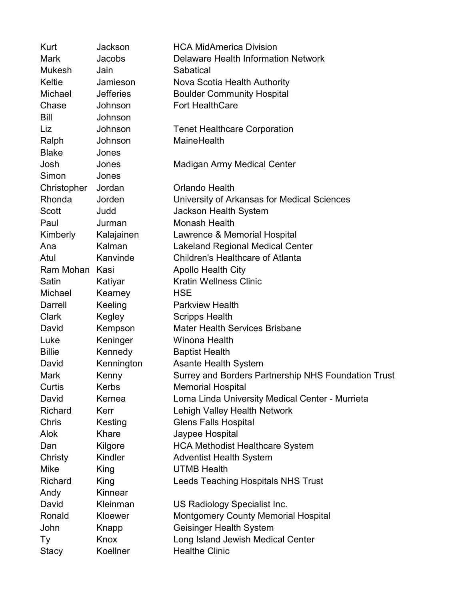| Kurt           | Jackson          | <b>HCA MidAmerica Division</b>                             |
|----------------|------------------|------------------------------------------------------------|
| <b>Mark</b>    | Jacobs           | Delaware Health Information Network                        |
| <b>Mukesh</b>  | Jain             | Sabatical                                                  |
| <b>Keltie</b>  | Jamieson         | Nova Scotia Health Authority                               |
| Michael        | <b>Jefferies</b> | <b>Boulder Community Hospital</b>                          |
| Chase          | Johnson          | <b>Fort HealthCare</b>                                     |
| Bill           | Johnson          |                                                            |
| Liz            | Johnson          | <b>Tenet Healthcare Corporation</b>                        |
| Ralph          | Johnson          | MaineHealth                                                |
| <b>Blake</b>   | Jones            |                                                            |
| Josh           | Jones            | Madigan Army Medical Center                                |
| Simon          | Jones            |                                                            |
| Christopher    | Jordan           | <b>Orlando Health</b>                                      |
| Rhonda         | Jorden           | University of Arkansas for Medical Sciences                |
| <b>Scott</b>   | Judd             | <b>Jackson Health System</b>                               |
| Paul           | Jurman           | <b>Monash Health</b>                                       |
| Kimberly       | Kalajainen       | Lawrence & Memorial Hospital                               |
| Ana            | Kalman           | Lakeland Regional Medical Center                           |
| Atul           | Kanvinde         | <b>Children's Healthcare of Atlanta</b>                    |
| Ram Mohan      | Kasi             | <b>Apollo Health City</b>                                  |
| Satin          | Katiyar          | <b>Kratin Wellness Clinic</b>                              |
| Michael        | Kearney          | <b>HSE</b>                                                 |
| Darrell        | Keeling          | <b>Parkview Health</b>                                     |
| Clark          | Kegley           | <b>Scripps Health</b>                                      |
| David          | Kempson          | <b>Mater Health Services Brisbane</b>                      |
| Luke           | Keninger         | <b>Winona Health</b>                                       |
| <b>Billie</b>  | Kennedy          | <b>Baptist Health</b>                                      |
| David          | Kennington       | <b>Asante Health System</b>                                |
| Mark           | Kenny            | <b>Surrey and Borders Partnership NHS Foundation Trust</b> |
| Curtis         | <b>Kerbs</b>     | <b>Memorial Hospital</b>                                   |
| David          | Kernea           | Loma Linda University Medical Center - Murrieta            |
| <b>Richard</b> | Kerr             | Lehigh Valley Health Network                               |
| Chris          | Kesting          | <b>Glens Falls Hospital</b>                                |
| <b>Alok</b>    | Khare            | Jaypee Hospital                                            |
| Dan            | Kilgore          | <b>HCA Methodist Healthcare System</b>                     |
| Christy        | Kindler          | <b>Adventist Health System</b>                             |
| <b>Mike</b>    | King             | <b>UTMB Health</b>                                         |
| <b>Richard</b> | King             | Leeds Teaching Hospitals NHS Trust                         |
| Andy           | Kinnear          |                                                            |
| David          | Kleinman         | US Radiology Specialist Inc.                               |
| Ronald         | Kloewer          | <b>Montgomery County Memorial Hospital</b>                 |
| John           | Knapp            | <b>Geisinger Health System</b>                             |
| Тy             | Knox             | Long Island Jewish Medical Center                          |
| Stacy          | Koellner         | <b>Healthe Clinic</b>                                      |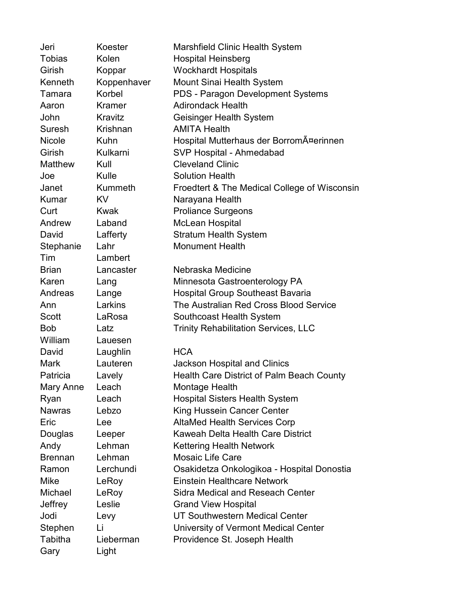| Jeri           | Koester         | <b>Marshfield Clinic Health System</b>       |
|----------------|-----------------|----------------------------------------------|
| <b>Tobias</b>  | Kolen           | <b>Hospital Heinsberg</b>                    |
| Girish         | Koppar          | <b>Wockhardt Hospitals</b>                   |
| Kenneth        | Koppenhaver     | Mount Sinai Health System                    |
| Tamara         | Korbel          | PDS - Paragon Development Systems            |
| Aaron          | Kramer          | <b>Adirondack Health</b>                     |
| John           | Kravitz         | <b>Geisinger Health System</b>               |
| Suresh         | <b>Krishnan</b> | <b>AMITA Health</b>                          |
| <b>Nicole</b>  | Kuhn            | Hospital Mutterhaus der BorromĤerinnen       |
| Girish         | Kulkarni        | SVP Hospital - Ahmedabad                     |
| <b>Matthew</b> | Kull            | <b>Cleveland Clinic</b>                      |
| Joe            | Kulle           | <b>Solution Health</b>                       |
| Janet          | Kummeth         | Froedtert & The Medical College of Wisconsin |
| Kumar          | KV.             | Narayana Health                              |
| Curt           | <b>Kwak</b>     | <b>Proliance Surgeons</b>                    |
| Andrew         | Laband          | <b>McLean Hospital</b>                       |
| David          | Lafferty        | <b>Stratum Health System</b>                 |
| Stephanie      | Lahr            | <b>Monument Health</b>                       |
| Tim            | Lambert         |                                              |
| <b>Brian</b>   | Lancaster       | Nebraska Medicine                            |
| Karen          | Lang            | Minnesota Gastroenterology PA                |
| Andreas        | Lange           | <b>Hospital Group Southeast Bavaria</b>      |
| Ann            | Larkins         | The Australian Red Cross Blood Service       |
| Scott          | LaRosa          | Southcoast Health System                     |
| <b>Bob</b>     | Latz            | <b>Trinity Rehabilitation Services, LLC</b>  |
| William        | Lauesen         |                                              |
| David          | Laughlin        | <b>HCA</b>                                   |
| Mark           | Lauteren        | <b>Jackson Hospital and Clinics</b>          |
| Patricia       | Lavely          | Health Care District of Palm Beach County    |
| Mary Anne      | Leach           | Montage Health                               |
| Ryan           | Leach           | <b>Hospital Sisters Health System</b>        |
| <b>Nawras</b>  | Lebzo           | <b>King Hussein Cancer Center</b>            |
| Eric           | Lee             | <b>AltaMed Health Services Corp</b>          |
| Douglas        | Leeper          | Kaweah Delta Health Care District            |
| Andy           | Lehman          | <b>Kettering Health Network</b>              |
| <b>Brennan</b> | Lehman          | <b>Mosaic Life Care</b>                      |
| Ramon          | Lerchundi       | Osakidetza Onkologikoa - Hospital Donostia   |
| <b>Mike</b>    | LeRoy           | <b>Einstein Healthcare Network</b>           |
| Michael        | LeRoy           | Sidra Medical and Reseach Center             |
| Jeffrey        | Leslie          | <b>Grand View Hospital</b>                   |
| Jodi           | Levy            | <b>UT Southwestern Medical Center</b>        |
| Stephen        | Li              | University of Vermont Medical Center         |
| Tabitha        | Lieberman       | Providence St. Joseph Health                 |
| Gary           | Light           |                                              |
|                |                 |                                              |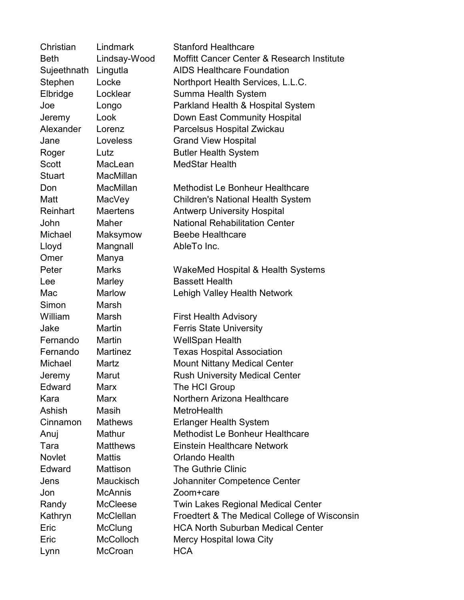| Christian     | Lindmark         | <b>Stanford Healthcare</b>                   |
|---------------|------------------|----------------------------------------------|
| <b>Beth</b>   | Lindsay-Wood     | Moffitt Cancer Center & Research Institute   |
| Sujeethnath   | Lingutla         | <b>AIDS Healthcare Foundation</b>            |
| Stephen       | Locke            | Northport Health Services, L.L.C.            |
| Elbridge      | Locklear         | Summa Health System                          |
| Joe           | Longo            | Parkland Health & Hospital System            |
| Jeremy        | Look             | Down East Community Hospital                 |
| Alexander     | Lorenz           | Parcelsus Hospital Zwickau                   |
| Jane          | Loveless         | <b>Grand View Hospital</b>                   |
| Roger         | Lutz             | <b>Butler Health System</b>                  |
| <b>Scott</b>  | MacLean          | <b>MedStar Health</b>                        |
| <b>Stuart</b> | MacMillan        |                                              |
| Don           | MacMillan        | Methodist Le Bonheur Healthcare              |
| Matt          | MacVey           | <b>Children's National Health System</b>     |
| Reinhart      | <b>Maertens</b>  | <b>Antwerp University Hospital</b>           |
| John          | Maher            | <b>National Rehabilitation Center</b>        |
| Michael       | Maksymow         | <b>Beebe Healthcare</b>                      |
| Lloyd         | Mangnall         | AbleTo Inc.                                  |
| Omer          | Manya            |                                              |
| Peter         | <b>Marks</b>     | WakeMed Hospital & Health Systems            |
| Lee           | Marley           | <b>Bassett Health</b>                        |
| Mac           | <b>Marlow</b>    | Lehigh Valley Health Network                 |
| Simon         | Marsh            |                                              |
| William       | Marsh            | <b>First Health Advisory</b>                 |
| Jake          | Martin           | <b>Ferris State University</b>               |
| Fernando      | Martin           | <b>WellSpan Health</b>                       |
| Fernando      | Martinez         | <b>Texas Hospital Association</b>            |
| Michael       | Martz            | <b>Mount Nittany Medical Center</b>          |
| Jeremy        | Marut            | <b>Rush University Medical Center</b>        |
| Edward        | Marx             | The HCI Group                                |
| Kara          | Marx             | Northern Arizona Healthcare                  |
| Ashish        | Masih            | MetroHealth                                  |
| Cinnamon      | <b>Mathews</b>   | <b>Erlanger Health System</b>                |
| Anuj          | Mathur           | Methodist Le Bonheur Healthcare              |
| Tara          | <b>Matthews</b>  | <b>Einstein Healthcare Network</b>           |
| <b>Noviet</b> | <b>Mattis</b>    | Orlando Health                               |
| Edward        | Mattison         | <b>The Guthrie Clinic</b>                    |
| Jens          | Mauckisch        | Johanniter Competence Center                 |
| Jon           | <b>McAnnis</b>   | Zoom+care                                    |
| Randy         | <b>McCleese</b>  | <b>Twin Lakes Regional Medical Center</b>    |
| Kathryn       | <b>McClellan</b> | Froedtert & The Medical College of Wisconsin |
| Eric          | McClung          | <b>HCA North Suburban Medical Center</b>     |
| Eric          | <b>McColloch</b> | Mercy Hospital Iowa City                     |
| Lynn          | McCroan          | <b>HCA</b>                                   |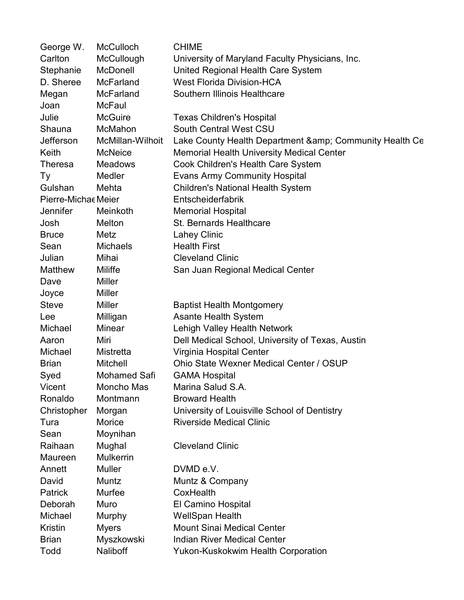| George W.           | <b>McCulloch</b>    | <b>CHIME</b>                                             |
|---------------------|---------------------|----------------------------------------------------------|
| Carlton             | McCullough          | University of Maryland Faculty Physicians, Inc.          |
| Stephanie           | McDonell            | United Regional Health Care System                       |
| D. Sheree           | <b>McFarland</b>    | <b>West Florida Division-HCA</b>                         |
| Megan               | <b>McFarland</b>    | Southern Illinois Healthcare                             |
| Joan                | <b>McFaul</b>       |                                                          |
| Julie               | <b>McGuire</b>      | <b>Texas Children's Hospital</b>                         |
| Shauna              | <b>McMahon</b>      | <b>South Central West CSU</b>                            |
| <b>Jefferson</b>    | McMillan-Wilhoit    | Lake County Health Department & amp; Community Health Ce |
| Keith               | <b>McNeice</b>      | <b>Memorial Health University Medical Center</b>         |
| Theresa             | <b>Meadows</b>      | Cook Children's Health Care System                       |
| Тy                  | Medler              | <b>Evans Army Community Hospital</b>                     |
| Gulshan             | Mehta               | <b>Children's National Health System</b>                 |
| Pierre-Michae Meier |                     | Entscheiderfabrik                                        |
| Jennifer            | Meinkoth            | <b>Memorial Hospital</b>                                 |
| Josh                | Melton              | <b>St. Bernards Healthcare</b>                           |
| <b>Bruce</b>        | Metz                | <b>Lahey Clinic</b>                                      |
| Sean                | <b>Michaels</b>     | <b>Health First</b>                                      |
| Julian              | Mihai               | <b>Cleveland Clinic</b>                                  |
| Matthew             | Miliffe             | San Juan Regional Medical Center                         |
| Dave                | <b>Miller</b>       |                                                          |
| Joyce               | <b>Miller</b>       |                                                          |
| <b>Steve</b>        | <b>Miller</b>       | <b>Baptist Health Montgomery</b>                         |
| Lee                 | Milligan            | <b>Asante Health System</b>                              |
| Michael             | <b>Minear</b>       | Lehigh Valley Health Network                             |
| Aaron               | Miri                | Dell Medical School, University of Texas, Austin         |
| Michael             | <b>Mistretta</b>    | Virginia Hospital Center                                 |
| <b>Brian</b>        | <b>Mitchell</b>     | Ohio State Wexner Medical Center / OSUP                  |
| Syed                | <b>Mohamed Safi</b> | <b>GAMA Hospital</b>                                     |
| Vicent              | Moncho Mas          | Marina Salud S.A.                                        |
| Ronaldo             | Montmann            | <b>Broward Health</b>                                    |
| Christopher         | Morgan              | University of Louisville School of Dentistry             |
| Tura                | Morice              | <b>Riverside Medical Clinic</b>                          |
| Sean                | Moynihan            |                                                          |
| Raihaan             | Mughal              | <b>Cleveland Clinic</b>                                  |
| Maureen             | <b>Mulkerrin</b>    |                                                          |
| Annett              | <b>Muller</b>       | DVMD e.V.                                                |
| David               | Muntz               | Muntz & Company                                          |
| <b>Patrick</b>      | Murfee              | CoxHealth                                                |
| Deborah             | Muro                | El Camino Hospital                                       |
| Michael             | Murphy              | <b>WellSpan Health</b>                                   |
| <b>Kristin</b>      | <b>Myers</b>        | <b>Mount Sinai Medical Center</b>                        |
| <b>Brian</b>        | Myszkowski          | <b>Indian River Medical Center</b>                       |
| Todd                | Naliboff            | <b>Yukon-Kuskokwim Health Corporation</b>                |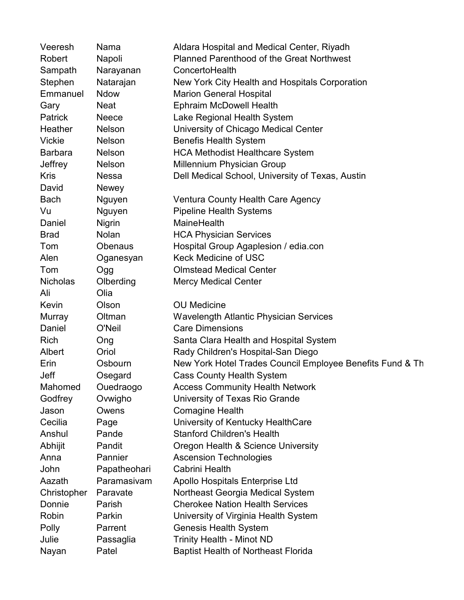| Veeresh         | Nama           | Aldara Hospital and Medical Center, Riyadh                |
|-----------------|----------------|-----------------------------------------------------------|
| Robert          | Napoli         | <b>Planned Parenthood of the Great Northwest</b>          |
| Sampath         | Narayanan      | ConcertoHealth                                            |
| Stephen         | Natarajan      | New York City Health and Hospitals Corporation            |
| Emmanuel        | <b>Ndow</b>    | <b>Marion General Hospital</b>                            |
| Gary            | Neat           | <b>Ephraim McDowell Health</b>                            |
| Patrick         | <b>Neece</b>   | Lake Regional Health System                               |
| Heather         | Nelson         | University of Chicago Medical Center                      |
| <b>Vickie</b>   | Nelson         | <b>Benefis Health System</b>                              |
| <b>Barbara</b>  | <b>Nelson</b>  | <b>HCA Methodist Healthcare System</b>                    |
| Jeffrey         | <b>Nelson</b>  | <b>Millennium Physician Group</b>                         |
| <b>Kris</b>     | <b>Nessa</b>   | Dell Medical School, University of Texas, Austin          |
| David           | Newey          |                                                           |
| <b>Bach</b>     | Nguyen         | Ventura County Health Care Agency                         |
| Vu              | Nguyen         | <b>Pipeline Health Systems</b>                            |
| Daniel          | <b>Nigrin</b>  | MaineHealth                                               |
| <b>Brad</b>     | Nolan          | <b>HCA Physician Services</b>                             |
| Tom             | <b>Obenaus</b> | Hospital Group Agaplesion / edia.con                      |
| Alen            | Oganesyan      | <b>Keck Medicine of USC</b>                               |
| Tom             | Ogg            | <b>Olmstead Medical Center</b>                            |
| <b>Nicholas</b> | Olberding      | <b>Mercy Medical Center</b>                               |
| Ali             | Olia           |                                                           |
| Kevin           | Olson          | <b>OU</b> Medicine                                        |
| Murray          | Oltman         | Wavelength Atlantic Physician Services                    |
| Daniel          | O'Neil         | <b>Care Dimensions</b>                                    |
| <b>Rich</b>     | Ong            | Santa Clara Health and Hospital System                    |
| Albert          | Oriol          | Rady Children's Hospital-San Diego                        |
| Erin            | Osbourn        | New York Hotel Trades Council Employee Benefits Fund & Th |
| Jeff            | Osegard        | <b>Cass County Health System</b>                          |
| Mahomed         | Ouedraogo      | <b>Access Community Health Network</b>                    |
| Godfrey         | Ovwigho        | University of Texas Rio Grande                            |
| Jason           | Owens          | <b>Comagine Health</b>                                    |
| Cecilia         | Page           | University of Kentucky HealthCare                         |
| Anshul          | Pande          | <b>Stanford Children's Health</b>                         |
| Abhijit         | Pandit         | Oregon Health & Science University                        |
| Anna            | Pannier        | <b>Ascension Technologies</b>                             |
| John            | Papatheohari   | Cabrini Health                                            |
| Aazath          | Paramasivam    | Apollo Hospitals Enterprise Ltd                           |
| Christopher     | Paravate       | Northeast Georgia Medical System                          |
| Donnie          | Parish         | <b>Cherokee Nation Health Services</b>                    |
| Robin           | Parkin         | University of Virginia Health System                      |
| Polly           | Parrent        | <b>Genesis Health System</b>                              |
| Julie           | Passaglia      | Trinity Health - Minot ND                                 |
| Nayan           | Patel          | <b>Baptist Health of Northeast Florida</b>                |
|                 |                |                                                           |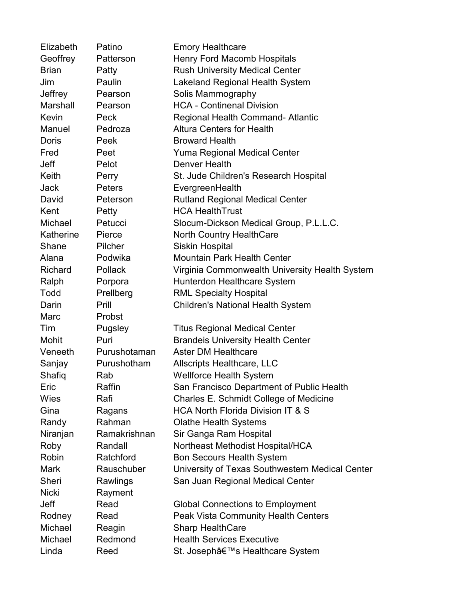| Elizabeth      | Patino       | <b>Emory Healthcare</b>                         |
|----------------|--------------|-------------------------------------------------|
| Geoffrey       | Patterson    | <b>Henry Ford Macomb Hospitals</b>              |
| <b>Brian</b>   | Patty        | <b>Rush University Medical Center</b>           |
| Jim            | Paulin       | <b>Lakeland Regional Health System</b>          |
| Jeffrey        | Pearson      | Solis Mammography                               |
| Marshall       | Pearson      | <b>HCA - Continenal Division</b>                |
| Kevin          | Peck         | Regional Health Command- Atlantic               |
| Manuel         | Pedroza      | <b>Altura Centers for Health</b>                |
| <b>Doris</b>   | Peek         | <b>Broward Health</b>                           |
| Fred           | Peet         | <b>Yuma Regional Medical Center</b>             |
| Jeff           | Pelot        | <b>Denver Health</b>                            |
| Keith          | Perry        | St. Jude Children's Research Hospital           |
| <b>Jack</b>    | Peters       | EvergreenHealth                                 |
| David          | Peterson     | <b>Rutland Regional Medical Center</b>          |
| Kent           | Petty        | <b>HCA HealthTrust</b>                          |
| Michael        | Petucci      | Slocum-Dickson Medical Group, P.L.L.C.          |
| Katherine      | Pierce       | <b>North Country HealthCare</b>                 |
| Shane          | Pilcher      | <b>Siskin Hospital</b>                          |
| Alana          | Podwika      | <b>Mountain Park Health Center</b>              |
| <b>Richard</b> | Pollack      | Virginia Commonwealth University Health System  |
| Ralph          | Porpora      | Hunterdon Healthcare System                     |
| Todd           | Prellberg    | <b>RML Specialty Hospital</b>                   |
| Darin          | Prill        | <b>Children's National Health System</b>        |
| Marc           | Probst       |                                                 |
| Tim            | Pugsley      | <b>Titus Regional Medical Center</b>            |
| Mohit          | Puri         | <b>Brandeis University Health Center</b>        |
| Veneeth        | Purushotaman | <b>Aster DM Healthcare</b>                      |
| Sanjay         | Purushotham  | <b>Allscripts Healthcare, LLC</b>               |
| Shafiq         | Rab          | <b>Wellforce Health System</b>                  |
| Eric           | Raffin       | San Francisco Department of Public Health       |
| Wies           | Rafi         | Charles E. Schmidt College of Medicine          |
| Gina           | Ragans       | <b>HCA North Florida Division IT &amp; S</b>    |
| Randy          | Rahman       | <b>Olathe Health Systems</b>                    |
| Niranjan       | Ramakrishnan | Sir Ganga Ram Hospital                          |
| Roby           | Randall      | Northeast Methodist Hospital/HCA                |
| <b>Robin</b>   | Ratchford    | <b>Bon Secours Health System</b>                |
| <b>Mark</b>    | Rauschuber   | University of Texas Southwestern Medical Center |
| <b>Sheri</b>   | Rawlings     | San Juan Regional Medical Center                |
| <b>Nicki</b>   | Rayment      |                                                 |
| Jeff           | Read         | <b>Global Connections to Employment</b>         |
| Rodney         | Read         | <b>Peak Vista Community Health Centers</b>      |
| Michael        | Reagin       | <b>Sharp HealthCare</b>                         |
| Michael        | Redmond      | <b>Health Services Executive</b>                |
| Linda          | Reed         | St. Joseph's Healthcare System                  |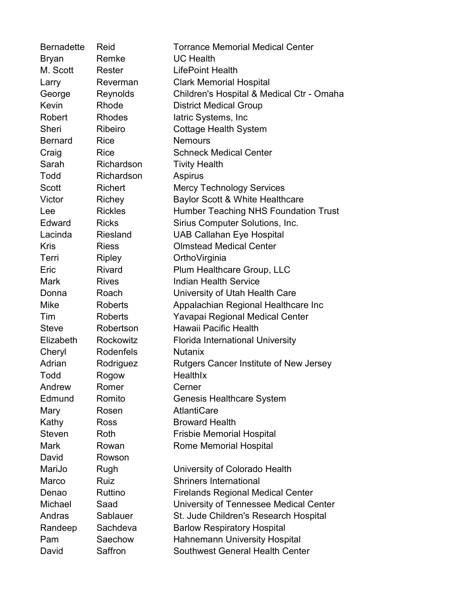| <b>Torrance Memorial Medical Center</b><br><b>Bernadette</b><br>Reid |  |
|----------------------------------------------------------------------|--|
| Remke<br><b>UC Health</b><br><b>Bryan</b>                            |  |
| M. Scott<br><b>LifePoint Health</b><br>Rester                        |  |
| <b>Clark Memorial Hospital</b><br>Reverman<br>Larry                  |  |
| Children's Hospital & Medical Ctr - Omaha<br>Reynolds<br>George      |  |
| Kevin<br>Rhode<br><b>District Medical Group</b>                      |  |
| <b>Rhodes</b><br><b>Robert</b><br>latric Systems, Inc                |  |
| <b>Sheri</b><br><b>Ribeiro</b><br><b>Cottage Health System</b>       |  |
| <b>Rice</b><br><b>Nemours</b><br><b>Bernard</b>                      |  |
| <b>Schneck Medical Center</b><br>Craig<br><b>Rice</b>                |  |
| Sarah<br>Richardson<br><b>Tivity Health</b>                          |  |
| Todd<br>Richardson<br><b>Aspirus</b>                                 |  |
| <b>Scott</b><br><b>Richert</b><br><b>Mercy Technology Services</b>   |  |
| Baylor Scott & White Healthcare<br>Victor<br>Richey                  |  |
| <b>Rickles</b><br>Humber Teaching NHS Foundation Trust<br>Lee        |  |
| Sirius Computer Solutions, Inc.<br>Edward<br><b>Ricks</b>            |  |
| Lacinda<br>Riesland<br><b>UAB Callahan Eye Hospital</b>              |  |
| <b>Olmstead Medical Center</b><br><b>Kris</b><br><b>Riess</b>        |  |
| Terri<br><b>Ripley</b><br>OrthoVirginia                              |  |
| <b>Rivard</b><br>Eric<br>Plum Healthcare Group, LLC                  |  |
| <b>Indian Health Service</b><br><b>Mark</b><br><b>Rives</b>          |  |
| Roach<br>University of Utah Health Care<br>Donna                     |  |
| Mike<br><b>Roberts</b><br>Appalachian Regional Healthcare Inc        |  |
| Tim<br>Yavapai Regional Medical Center<br><b>Roberts</b>             |  |
| Hawaii Pacific Health<br><b>Steve</b><br>Robertson                   |  |
| Elizabeth<br>Rockowitz<br><b>Florida International University</b>    |  |
| Rodenfels<br><b>Nutanix</b><br>Cheryl                                |  |
| Adrian<br>Rodriguez<br><b>Rutgers Cancer Institute of New Jersey</b> |  |
| Healthlx<br>Todd<br>Rogow                                            |  |
| Andrew<br>Romer<br>Cerner                                            |  |
| Romito<br>Edmund<br>Genesis Healthcare System                        |  |
| <b>AtlantiCare</b><br>Mary<br>Rosen                                  |  |
| <b>Broward Health</b><br>Kathy<br><b>Ross</b>                        |  |
| <b>Steven</b><br>Roth<br><b>Frisbie Memorial Hospital</b>            |  |
| <b>Mark</b><br>Rome Memorial Hospital<br>Rowan                       |  |
| David<br>Rowson                                                      |  |
| MariJo<br>Rugh<br>University of Colorado Health                      |  |
| <b>Shriners International</b><br>Marco<br>Ruiz                       |  |
| Ruttino<br><b>Firelands Regional Medical Center</b><br>Denao         |  |
| Michael<br>Saad<br>University of Tennessee Medical Center            |  |
| Andras<br>Sablauer<br>St. Jude Children's Research Hospital          |  |
| Sachdeva<br>Randeep<br><b>Barlow Respiratory Hospital</b>            |  |
| Saechow<br>Pam<br><b>Hahnemann University Hospital</b>               |  |
|                                                                      |  |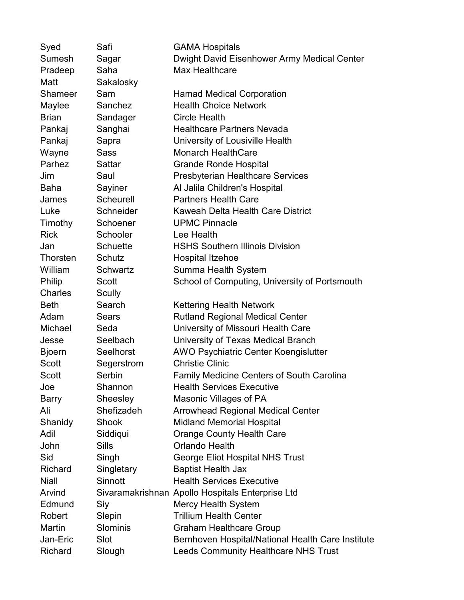| Syed           | Safi            | <b>GAMA Hospitals</b>                             |
|----------------|-----------------|---------------------------------------------------|
| Sumesh         | Sagar           | Dwight David Eisenhower Army Medical Center       |
| Pradeep        | Saha            | <b>Max Healthcare</b>                             |
| Matt           | Sakalosky       |                                                   |
| Shameer        | Sam             | <b>Hamad Medical Corporation</b>                  |
| Maylee         | Sanchez         | <b>Health Choice Network</b>                      |
| <b>Brian</b>   | Sandager        | <b>Circle Health</b>                              |
| Pankaj         | Sanghai         | <b>Healthcare Partners Nevada</b>                 |
| Pankaj         | Sapra           | University of Lousiville Health                   |
| Wayne          | <b>Sass</b>     | <b>Monarch HealthCare</b>                         |
| Parhez         | Sattar          | <b>Grande Ronde Hospital</b>                      |
| Jim            | Saul            | <b>Presbyterian Healthcare Services</b>           |
| Baha           | Sayiner         | Al Jalila Children's Hospital                     |
| James          | Scheurell       | <b>Partners Health Care</b>                       |
| Luke           | Schneider       | Kaweah Delta Health Care District                 |
| Timothy        | Schoener        | <b>UPMC Pinnacle</b>                              |
| <b>Rick</b>    | Schooler        | Lee Health                                        |
| Jan            | Schuette        | <b>HSHS Southern Illinois Division</b>            |
| Thorsten       | Schutz          | <b>Hospital Itzehoe</b>                           |
| William        | Schwartz        | Summa Health System                               |
| Philip         | Scott           | School of Computing, University of Portsmouth     |
| Charles        | Scully          |                                                   |
| <b>Beth</b>    | Search          | <b>Kettering Health Network</b>                   |
| Adam           | <b>Sears</b>    | <b>Rutland Regional Medical Center</b>            |
| Michael        | Seda            | University of Missouri Health Care                |
| Jesse          | Seelbach        | University of Texas Medical Branch                |
| <b>Bjoern</b>  | Seelhorst       | <b>AWO Psychiatric Center Koengislutter</b>       |
| <b>Scott</b>   | Segerstrom      | <b>Christie Clinic</b>                            |
| <b>Scott</b>   | Serbin          | <b>Family Medicine Centers of South Carolina</b>  |
| Joe            | Shannon         | <b>Health Services Executive</b>                  |
| Barry          | Sheesley        | Masonic Villages of PA                            |
| Ali            | Shefizadeh      | <b>Arrowhead Regional Medical Center</b>          |
| Shanidy        | <b>Shook</b>    | <b>Midland Memorial Hospital</b>                  |
| Adil           | Siddiqui        | <b>Orange County Health Care</b>                  |
| <b>John</b>    | <b>Sills</b>    | <b>Orlando Health</b>                             |
| Sid            | Singh           | George Eliot Hospital NHS Trust                   |
| <b>Richard</b> | Singletary      | <b>Baptist Health Jax</b>                         |
| <b>Niall</b>   | Sinnott         | <b>Health Services Executive</b>                  |
| Arvind         |                 | Sivaramakrishnan Apollo Hospitals Enterprise Ltd  |
| Edmund         | Siy             | Mercy Health System                               |
| <b>Robert</b>  | Slepin          | <b>Trillium Health Center</b>                     |
| Martin         | <b>Slominis</b> | <b>Graham Healthcare Group</b>                    |
| Jan-Eric       | Slot            | Bernhoven Hospital/National Health Care Institute |
| Richard        | Slough          | Leeds Community Healthcare NHS Trust              |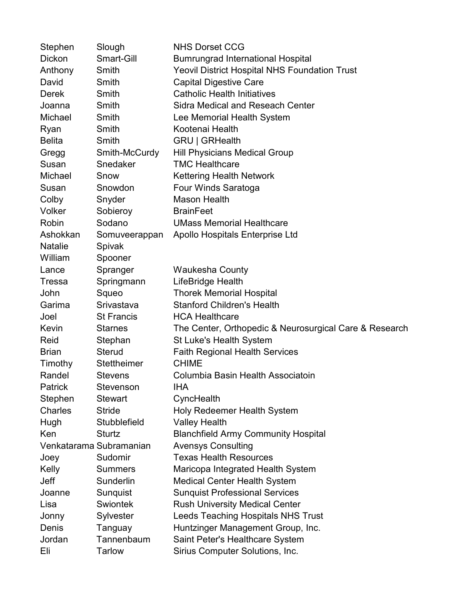| Stephen        | Slough                  | <b>NHS Dorset CCG</b>                                  |
|----------------|-------------------------|--------------------------------------------------------|
| <b>Dickon</b>  | Smart-Gill              | <b>Bumrungrad International Hospital</b>               |
| Anthony        | Smith                   | <b>Yeovil District Hospital NHS Foundation Trust</b>   |
| David          | Smith                   | <b>Capital Digestive Care</b>                          |
| <b>Derek</b>   | Smith                   | <b>Catholic Health Initiatives</b>                     |
| Joanna         | Smith                   | <b>Sidra Medical and Reseach Center</b>                |
| Michael        | Smith                   | Lee Memorial Health System                             |
| Ryan           | Smith                   | Kootenai Health                                        |
| <b>Belita</b>  | Smith                   | GRU   GRHealth                                         |
| Gregg          | Smith-McCurdy           | <b>Hill Physicians Medical Group</b>                   |
| Susan          | Snedaker                | <b>TMC Healthcare</b>                                  |
| Michael        | Snow                    | <b>Kettering Health Network</b>                        |
| Susan          | Snowdon                 | Four Winds Saratoga                                    |
| Colby          | Snyder                  | <b>Mason Health</b>                                    |
| Volker         | Sobieroy                | <b>BrainFeet</b>                                       |
| Robin          | Sodano                  | <b>UMass Memorial Healthcare</b>                       |
| Ashokkan       | Somuveerappan           | Apollo Hospitals Enterprise Ltd                        |
| <b>Natalie</b> | Spivak                  |                                                        |
| William        | Spooner                 |                                                        |
| Lance          | Spranger                | <b>Waukesha County</b>                                 |
| Tressa         | Springmann              | LifeBridge Health                                      |
| John           | Squeo                   | <b>Thorek Memorial Hospital</b>                        |
| Garima         | Srivastava              | <b>Stanford Children's Health</b>                      |
| Joel           | <b>St Francis</b>       | <b>HCA Healthcare</b>                                  |
| Kevin          | <b>Starnes</b>          | The Center, Orthopedic & Neurosurgical Care & Research |
| Reid           | Stephan                 | St Luke's Health System                                |
| <b>Brian</b>   | <b>Sterud</b>           | <b>Faith Regional Health Services</b>                  |
| Timothy        | <b>Stettheimer</b>      | <b>CHIME</b>                                           |
| Randel         | <b>Stevens</b>          | Columbia Basin Health Associatoin                      |
| Patrick        | Stevenson               | IHA                                                    |
| Stephen        | <b>Stewart</b>          | CyncHealth                                             |
| <b>Charles</b> | <b>Stride</b>           | <b>Holy Redeemer Health System</b>                     |
| Hugh           | Stubblefield            | <b>Valley Health</b>                                   |
| Ken            | <b>Sturtz</b>           | <b>Blanchfield Army Community Hospital</b>             |
|                | Venkatarama Subramanian | <b>Avensys Consulting</b>                              |
| Joey           | Sudomir                 | <b>Texas Health Resources</b>                          |
| Kelly          | <b>Summers</b>          | Maricopa Integrated Health System                      |
| Jeff           | Sunderlin               | <b>Medical Center Health System</b>                    |
| Joanne         | Sunquist                | <b>Sunquist Professional Services</b>                  |
| Lisa           | Swiontek                | <b>Rush University Medical Center</b>                  |
| Jonny          | Sylvester               | Leeds Teaching Hospitals NHS Trust                     |
| Denis          | Tanguay                 | Huntzinger Management Group, Inc.                      |
| Jordan         | Tannenbaum              | Saint Peter's Healthcare System                        |
| Eli            | Tarlow                  | Sirius Computer Solutions, Inc.                        |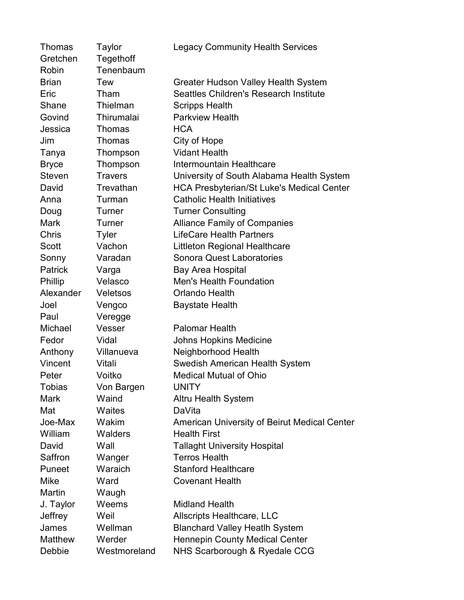| Thomas         | Taylor          | <b>Legacy Community Health Services</b>          |
|----------------|-----------------|--------------------------------------------------|
| Gretchen       | Tegethoff       |                                                  |
| <b>Robin</b>   | Tenenbaum       |                                                  |
| <b>Brian</b>   | Tew             | Greater Hudson Valley Health System              |
| Eric           | Tham            | Seattles Children's Research Institute           |
| Shane          | Thielman        | <b>Scripps Health</b>                            |
| Govind         | Thirumalai      | <b>Parkview Health</b>                           |
| Jessica        | <b>Thomas</b>   | <b>HCA</b>                                       |
| Jim            | <b>Thomas</b>   | City of Hope                                     |
| Tanya          | Thompson        | <b>Vidant Health</b>                             |
| <b>Bryce</b>   | Thompson        | Intermountain Healthcare                         |
| <b>Steven</b>  | <b>Travers</b>  | University of South Alabama Health System        |
| David          | Trevathan       | <b>HCA Presbyterian/St Luke's Medical Center</b> |
| Anna           | Turman          | <b>Catholic Health Initiatives</b>               |
| Doug           | Turner          | <b>Turner Consulting</b>                         |
| <b>Mark</b>    | Turner          | <b>Alliance Family of Companies</b>              |
| <b>Chris</b>   | Tyler           | <b>LifeCare Health Partners</b>                  |
| Scott          | Vachon          | <b>Littleton Regional Healthcare</b>             |
| Sonny          | Varadan         | Sonora Quest Laboratories                        |
| <b>Patrick</b> | Varga           | <b>Bay Area Hospital</b>                         |
| <b>Phillip</b> | Velasco         | <b>Men's Health Foundation</b>                   |
| Alexander      | <b>Veletsos</b> | Orlando Health                                   |
| Joel           | Vengco          | <b>Baystate Health</b>                           |
| Paul           | Veregge         |                                                  |
| Michael        | Vesser          | <b>Palomar Health</b>                            |
| Fedor          | Vidal           | Johns Hopkins Medicine                           |
| Anthony        | Villanueva      | Neighborhood Health                              |
| Vincent        | Vitali          | Swedish American Health System                   |
| Peter          | Voitko          | <b>Medical Mutual of Ohio</b>                    |
| <b>Tobias</b>  | Von Bargen      | <b>UNITY</b>                                     |
| <b>Mark</b>    | Waind           | Altru Health System                              |
| Mat            | Waites          | DaVita                                           |
| Joe-Max        | Wakim           | American University of Beirut Medical Center     |
| William        | <b>Walders</b>  | <b>Health First</b>                              |
| David          | Wall            | <b>Tallaght University Hospital</b>              |
| Saffron        | Wanger          | <b>Terros Health</b>                             |
| Puneet         | Waraich         | <b>Stanford Healthcare</b>                       |
| Mike           | Ward            | <b>Covenant Health</b>                           |
| Martin         | Waugh           |                                                  |
| J. Taylor      | Weems           | <b>Midland Health</b>                            |
| Jeffrey        | Weil            | <b>Allscripts Healthcare, LLC</b>                |
| James          | Wellman         | <b>Blanchard Valley Heatlh System</b>            |
| Matthew        | Werder          | <b>Hennepin County Medical Center</b>            |
| Debbie         | Westmoreland    | NHS Scarborough & Ryedale CCG                    |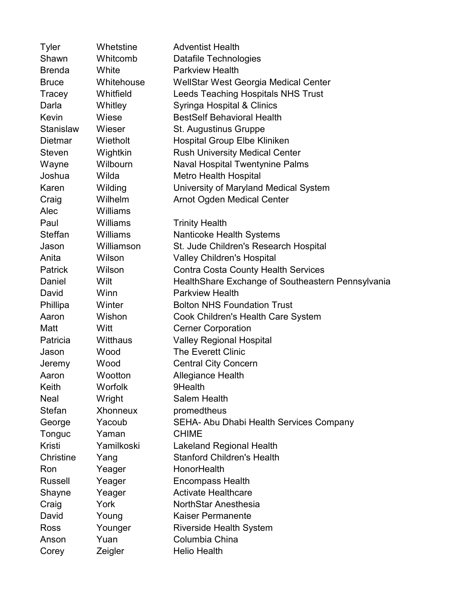| Tyler            | Whetstine       | <b>Adventist Health</b>                           |
|------------------|-----------------|---------------------------------------------------|
| Shawn            | Whitcomb        | Datafile Technologies                             |
| <b>Brenda</b>    | White           | <b>Parkview Health</b>                            |
| <b>Bruce</b>     | Whitehouse      | WellStar West Georgia Medical Center              |
| Tracey           | Whitfield       | Leeds Teaching Hospitals NHS Trust                |
| Darla            | Whitley         | <b>Syringa Hospital &amp; Clinics</b>             |
| Kevin            | Wiese           | <b>BestSelf Behavioral Health</b>                 |
| <b>Stanislaw</b> | Wieser          | St. Augustinus Gruppe                             |
| <b>Dietmar</b>   | Wietholt        | <b>Hospital Group Elbe Kliniken</b>               |
| <b>Steven</b>    | Wightkin        | <b>Rush University Medical Center</b>             |
| Wayne            | Wilbourn        | <b>Naval Hospital Twentynine Palms</b>            |
| Joshua           | Wilda           | <b>Metro Health Hospital</b>                      |
| Karen            | Wilding         | University of Maryland Medical System             |
| Craig            | Wilhelm         | <b>Arnot Ogden Medical Center</b>                 |
| Alec             | Williams        |                                                   |
| Paul             | Williams        | <b>Trinity Health</b>                             |
| <b>Steffan</b>   | Williams        | Nanticoke Health Systems                          |
| Jason            | Williamson      | St. Jude Children's Research Hospital             |
| Anita            | Wilson          | <b>Valley Children's Hospital</b>                 |
| <b>Patrick</b>   | Wilson          | <b>Contra Costa County Health Services</b>        |
| Daniel           | Wilt            | HealthShare Exchange of Southeastern Pennsylvania |
| David            | Winn            | <b>Parkview Health</b>                            |
| Phillipa         | Winter          | <b>Bolton NHS Foundation Trust</b>                |
| Aaron            | Wishon          | Cook Children's Health Care System                |
| Matt             | Witt            | <b>Cerner Corporation</b>                         |
| Patricia         | Witthaus        | <b>Valley Regional Hospital</b>                   |
| Jason            | Wood            | <b>The Everett Clinic</b>                         |
| Jeremy           | Wood            | <b>Central City Concern</b>                       |
| Aaron            | Wootton         | Allegiance Health                                 |
| Keith            | Worfolk         | 9Health                                           |
| <b>Neal</b>      | Wright          | Salem Health                                      |
| <b>Stefan</b>    | <b>Xhonneux</b> | promedtheus                                       |
| George           | Yacoub          | SEHA- Abu Dhabi Health Services Company           |
| Tonguc           | Yaman           | <b>CHIME</b>                                      |
| Kristi           | Yamilkoski      | <b>Lakeland Regional Health</b>                   |
| Christine        | Yang            | <b>Stanford Children's Health</b>                 |
| Ron              | Yeager          | <b>HonorHealth</b>                                |
| <b>Russell</b>   | Yeager          | <b>Encompass Health</b>                           |
| Shayne           | Yeager          | <b>Activate Healthcare</b>                        |
| Craig            | York            | NorthStar Anesthesia                              |
| David            | Young           | <b>Kaiser Permanente</b>                          |
| <b>Ross</b>      | Younger         | <b>Riverside Health System</b>                    |
| Anson            | Yuan            | Columbia China                                    |
| Corey            | Zeigler         | <b>Helio Health</b>                               |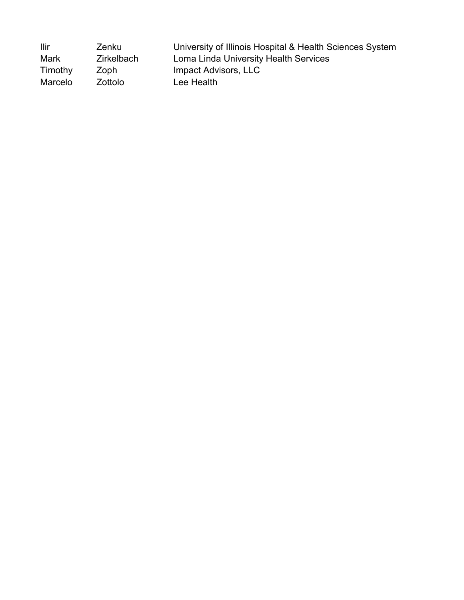| <b>Ilir</b> | Zenku      | University of Illinois Hospital & Health Sciences System |
|-------------|------------|----------------------------------------------------------|
| Mark        | Zirkelbach | Loma Linda University Health Services                    |
| Timothy     | Zoph       | Impact Advisors, LLC                                     |
| Marcelo     | Zottolo    | Lee Health                                               |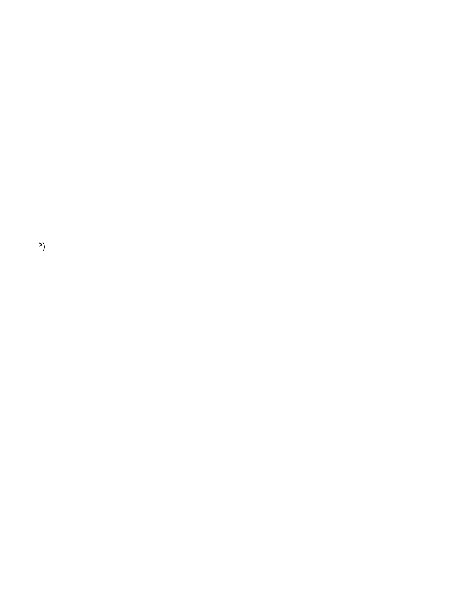Chesapeake Regional Information System for Patients (CRISP)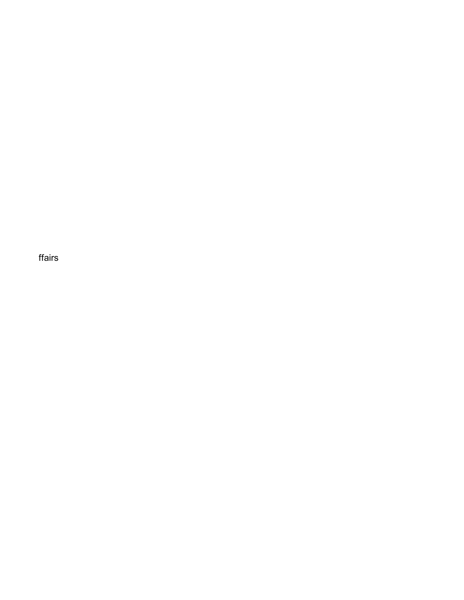Sheikh Khalifa Medical City - Ajman, Ministry of Presidential Affairs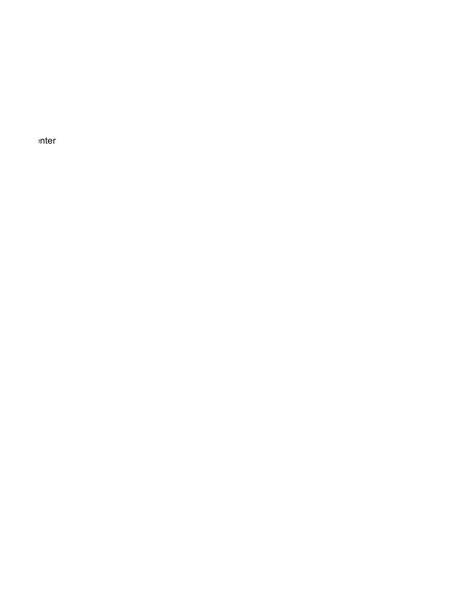$\blacksquare$ nter